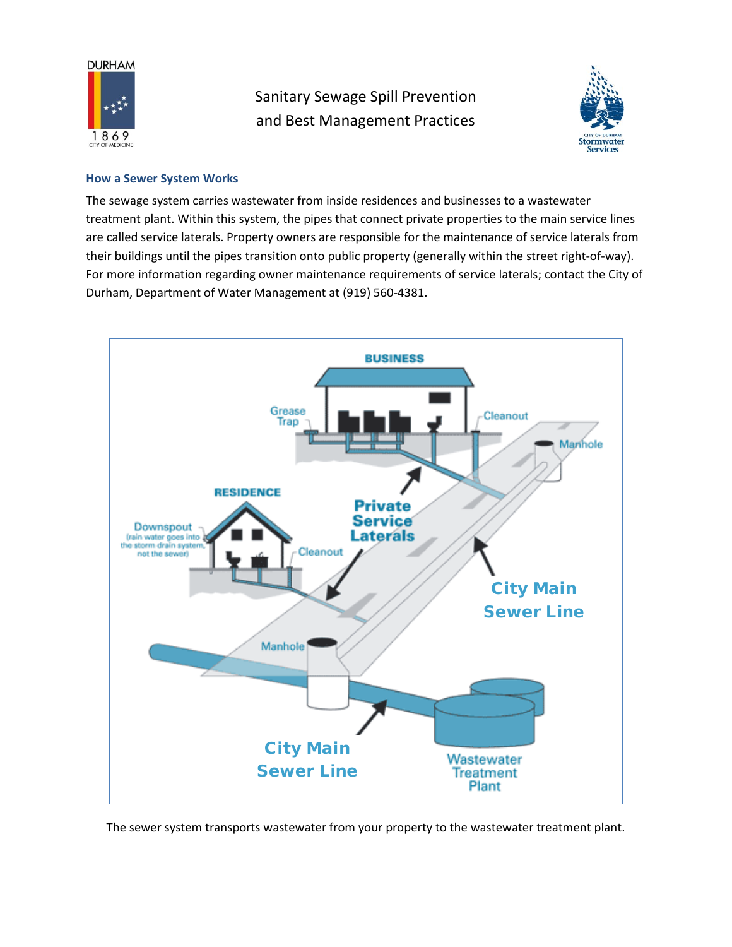

Sanitary Sewage Spill Prevention and Best Management Practices



#### **How a Sewer System Works**

The sewage system carries wastewater from inside residences and businesses to a wastewater treatment plant. Within this system, the pipes that connect private properties to the main service lines are called service laterals. Property owners are responsible for the maintenance of service laterals from their buildings until the pipes transition onto public property (generally within the street right-of-way). For more information regarding owner maintenance requirements of service laterals; contact the City of Durham, Department of Water Management at (919) 560-4381.



The sewer system transports wastewater from your property to the wastewater treatment plant.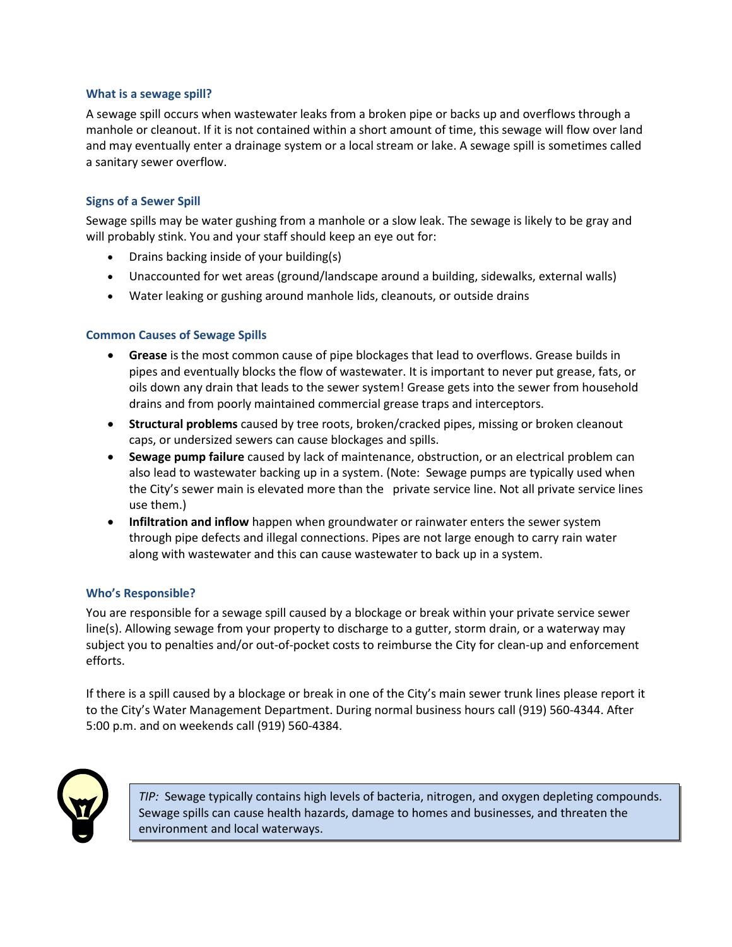#### **What is a sewage spill?**

A sewage spill occurs when wastewater leaks from a broken pipe or backs up and overflows through a manhole or cleanout. If it is not contained within a short amount of time, this sewage will flow over land and may eventually enter a drainage system or a local stream or lake. A sewage spill is sometimes called a sanitary sewer overflow.

# **Signs of a Sewer Spill**

Sewage spills may be water gushing from a manhole or a slow leak. The sewage is likely to be gray and will probably stink. You and your staff should keep an eye out for:

- Drains backing inside of your building(s)
- Unaccounted for wet areas (ground/landscape around a building, sidewalks, external walls)
- Water leaking or gushing around manhole lids, cleanouts, or outside drains

## **Common Causes of Sewage Spills**

- **Grease** is the most common cause of pipe blockages that lead to overflows. Grease builds in pipes and eventually blocks the flow of wastewater. It is important to never put grease, fats, or oils down any drain that leads to the sewer system! Grease gets into the sewer from household drains and from poorly maintained commercial grease traps and interceptors.
- **Structural problems** caused by tree roots, broken/cracked pipes, missing or broken cleanout caps, or undersized sewers can cause blockages and spills.
- **Sewage pump failure** caused by lack of maintenance, obstruction, or an electrical problem can also lead to wastewater backing up in a system. (Note: Sewage pumps are typically used when the City's sewer main is elevated more than the private service line. Not all private service lines use them.)
- **Infiltration and inflow** happen when groundwater or rainwater enters the sewer system through pipe defects and illegal connections. Pipes are not large enough to carry rain water along with wastewater and this can cause wastewater to back up in a system.

## **Who's Responsible?**

You are responsible for a sewage spill caused by a blockage or break within your private service sewer line(s). Allowing sewage from your property to discharge to a gutter, storm drain, or a waterway may subject you to penalties and/or out-of-pocket costs to reimburse the City for clean-up and enforcement efforts.

If there is a spill caused by a blockage or break in one of the City's main sewer trunk lines please report it to the City's Water Management Department. During normal business hours call (919) 560-4344. After 5:00 p.m. and on weekends call (919) 560-4384.



*TIP:* Sewage typically contains high levels of bacteria, nitrogen, and oxygen depleting compounds. Sewage spills can cause health hazards, damage to homes and businesses, and threaten the environment and local waterways.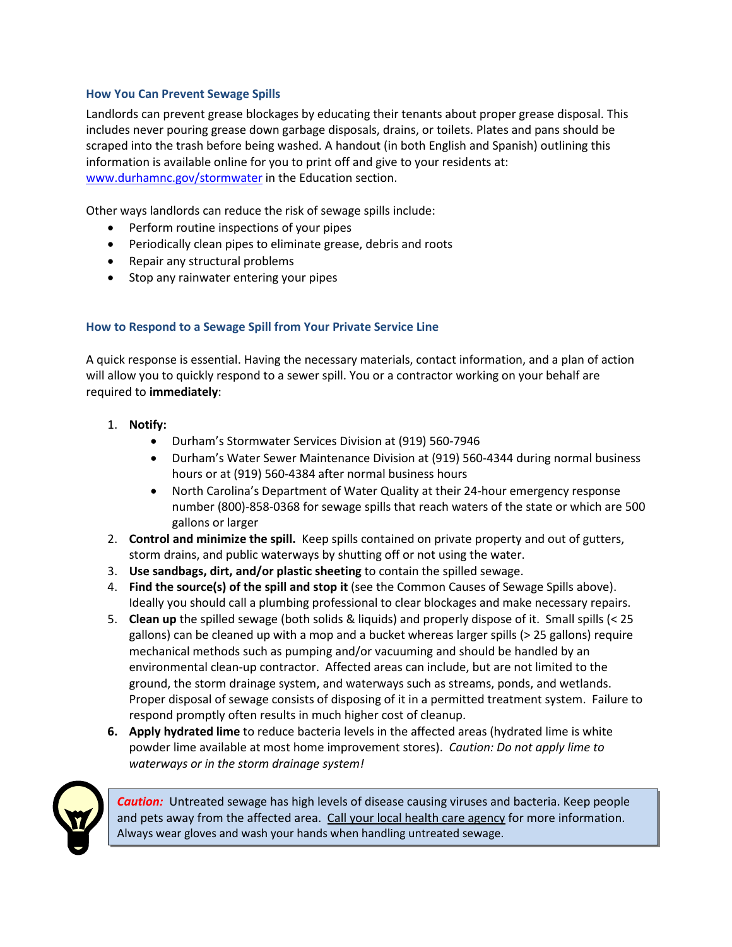## **How You Can Prevent Sewage Spills**

Landlords can prevent grease blockages by educating their tenants about proper grease disposal. This includes never pouring grease down garbage disposals, drains, or toilets. Plates and pans should be scraped into the trash before being washed. A handout (in both English and Spanish) outlining this information is available online for you to print off and give to your residents at: www.durhamnc.gov/stormwater in the Education section.

Other ways landlords can reduce the risk of sewage spills include:

- Perform routine inspections of your pipes
- Periodically clean pipes to eliminate grease, debris and roots
- Repair any structural problems
- Stop any rainwater entering your pipes

## **How to Respond to a Sewage Spill from Your Private Service Line**

A quick response is essential. Having the necessary materials, contact information, and a plan of action will allow you to quickly respond to a sewer spill. You or a contractor working on your behalf are required to **immediately**:

- 1. **Notify:**
	- Durham's Stormwater Services Division at (919) 560-7946
	- Durham's Water Sewer Maintenance Division at (919) 560-4344 during normal business hours or at (919) 560-4384 after normal business hours
	- North Carolina's Department of Water Quality at their 24-hour emergency response number (800)-858-0368 for sewage spills that reach waters of the state or which are 500 gallons or larger
- 2. **Control and minimize the spill.** Keep spills contained on private property and out of gutters, storm drains, and public waterways by shutting off or not using the water.
- 3. **Use sandbags, dirt, and/or plastic sheeting** to contain the spilled sewage.
- 4. **Find the source(s) of the spill and stop it** (see the Common Causes of Sewage Spills above). Ideally you should call a plumbing professional to clear blockages and make necessary repairs.
- 5. **Clean up** the spilled sewage (both solids & liquids) and properly dispose of it. Small spills (< 25 gallons) can be cleaned up with a mop and a bucket whereas larger spills (> 25 gallons) require mechanical methods such as pumping and/or vacuuming and should be handled by an environmental clean-up contractor. Affected areas can include, but are not limited to the ground, the storm drainage system, and waterways such as streams, ponds, and wetlands. Proper disposal of sewage consists of disposing of it in a permitted treatment system. Failure to respond promptly often results in much higher cost of cleanup.
- **6. Apply hydrated lime** to reduce bacteria levels in the affected areas (hydrated lime is white powder lime available at most home improvement stores). *Caution: Do not apply lime to waterways or in the storm drainage system!*



*Caution:* Untreated sewage has high levels of disease causing viruses and bacteria. Keep people and pets away from the affected area. Call your local health care agency for more information. Always wear gloves and wash your hands when handling untreated sewage.